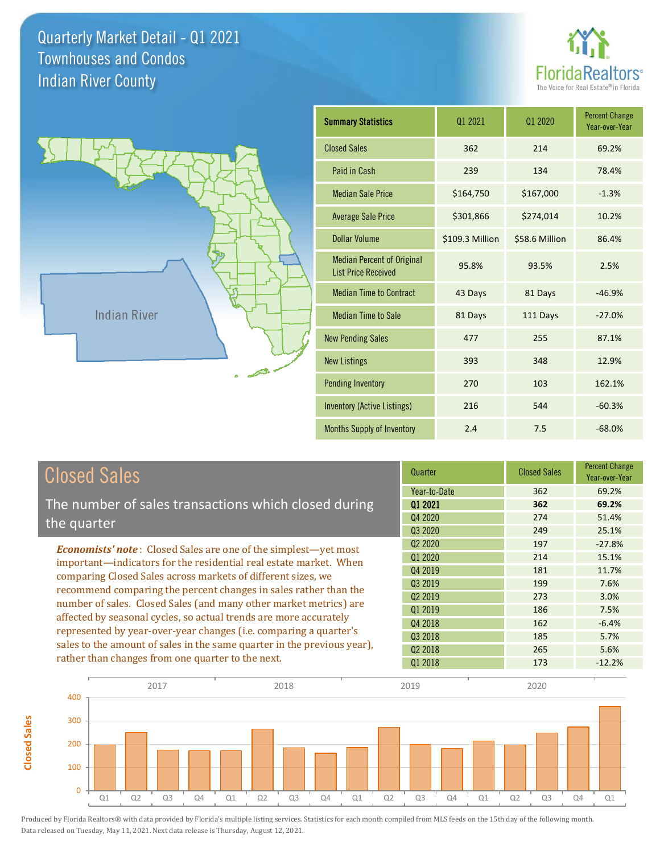**Closed Sales**

**Closed Sales** 





| <b>Summary Statistics</b>                                       | 01 2021         | 01 2020        | <b>Percent Change</b><br>Year-over-Year |
|-----------------------------------------------------------------|-----------------|----------------|-----------------------------------------|
| <b>Closed Sales</b>                                             | 362             | 214            | 69.2%                                   |
| Paid in Cash                                                    | 239             | 134            | 78.4%                                   |
| <b>Median Sale Price</b>                                        | \$164,750       | \$167,000      | $-1.3%$                                 |
| <b>Average Sale Price</b>                                       | \$301,866       | \$274,014      | 10.2%                                   |
| <b>Dollar Volume</b>                                            | \$109.3 Million | \$58.6 Million | 86.4%                                   |
| <b>Median Percent of Original</b><br><b>List Price Received</b> | 95.8%           | 93.5%          | 2.5%                                    |
| <b>Median Time to Contract</b>                                  | 43 Days         | 81 Days        | $-46.9%$                                |
| <b>Median Time to Sale</b>                                      | 81 Days         | 111 Days       | $-27.0%$                                |
| <b>New Pending Sales</b>                                        | 477             | 255            | 87.1%                                   |
| <b>New Listings</b>                                             | 393             | 348            | 12.9%                                   |
| <b>Pending Inventory</b>                                        | 270             | 103            | 162.1%                                  |
| <b>Inventory (Active Listings)</b>                              | 216             | 544            | $-60.3%$                                |
| <b>Months Supply of Inventory</b>                               | 2.4             | 7.5            | $-68.0%$                                |

| <b>Closed Sales</b>                                                                                                                                                                                                                                                                                                                                                                                                                                                             | Quarter             | <b>Closed Sales</b> | <b>Percent Change</b><br>Year-over-Year |
|---------------------------------------------------------------------------------------------------------------------------------------------------------------------------------------------------------------------------------------------------------------------------------------------------------------------------------------------------------------------------------------------------------------------------------------------------------------------------------|---------------------|---------------------|-----------------------------------------|
|                                                                                                                                                                                                                                                                                                                                                                                                                                                                                 | Year-to-Date        | 362                 | 69.2%                                   |
| The number of sales transactions which closed during                                                                                                                                                                                                                                                                                                                                                                                                                            | 01 2021             | 362                 | 69.2%                                   |
| the quarter                                                                                                                                                                                                                                                                                                                                                                                                                                                                     | Q4 2020             | 274                 | 51.4%                                   |
|                                                                                                                                                                                                                                                                                                                                                                                                                                                                                 | Q3 2020             | 249                 | 25.1%                                   |
| <b>Economists' note:</b> Closed Sales are one of the simplest—yet most                                                                                                                                                                                                                                                                                                                                                                                                          | Q <sub>2</sub> 2020 | 197                 | $-27.8%$                                |
| important—indicators for the residential real estate market. When                                                                                                                                                                                                                                                                                                                                                                                                               | Q1 2020             | 214                 | 15.1%                                   |
| comparing Closed Sales across markets of different sizes, we<br>recommend comparing the percent changes in sales rather than the<br>number of sales. Closed Sales (and many other market metrics) are<br>affected by seasonal cycles, so actual trends are more accurately<br>represented by year-over-year changes (i.e. comparing a quarter's<br>sales to the amount of sales in the same quarter in the previous year),<br>rather than changes from one quarter to the next. | Q4 2019             | 181                 | 11.7%                                   |
|                                                                                                                                                                                                                                                                                                                                                                                                                                                                                 | Q3 2019             | 199                 | 7.6%                                    |
|                                                                                                                                                                                                                                                                                                                                                                                                                                                                                 | Q <sub>2</sub> 2019 | 273                 | 3.0%                                    |
|                                                                                                                                                                                                                                                                                                                                                                                                                                                                                 | 01 2019             | 186                 | 7.5%                                    |
|                                                                                                                                                                                                                                                                                                                                                                                                                                                                                 | Q4 2018             | 162                 | $-6.4%$                                 |
|                                                                                                                                                                                                                                                                                                                                                                                                                                                                                 | Q3 2018             | 185                 | 5.7%                                    |
|                                                                                                                                                                                                                                                                                                                                                                                                                                                                                 | Q <sub>2</sub> 2018 | 265                 | 5.6%                                    |
|                                                                                                                                                                                                                                                                                                                                                                                                                                                                                 | Q1 2018             | 173                 | $-12.2%$                                |

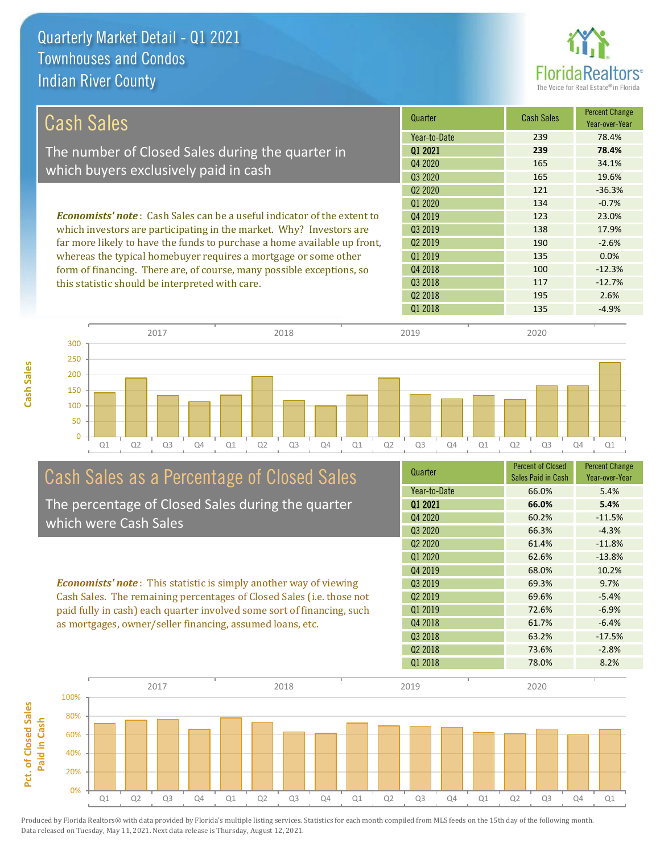

| <b>Cash Sales</b>                                                              | Quarter      | <b>Cash Sales</b> | <b>Percent Change</b><br>Year-over-Year |
|--------------------------------------------------------------------------------|--------------|-------------------|-----------------------------------------|
|                                                                                | Year-to-Date | 239               | 78.4%                                   |
| The number of Closed Sales during the quarter in                               | 01 2021      | 239               | 78.4%                                   |
| which buyers exclusively paid in cash                                          | Q4 2020      | 165               | 34.1%                                   |
|                                                                                | 03 20 20     | 165               | 19.6%                                   |
|                                                                                | 02 2020      | 121               | $-36.3%$                                |
|                                                                                | 01 2020      | 134               | $-0.7%$                                 |
| <b>Economists' note:</b> Cash Sales can be a useful indicator of the extent to | Q4 2019      | 123               | 23.0%                                   |
| which investors are participating in the market. Why? Investors are            | 03 2019      | 138               | 17.9%                                   |
| far more likely to have the funds to purchase a home available up front,       | 02 2019      | 190               | $-2.6%$                                 |
| whereas the typical homebuyer requires a mortgage or some other                | 01 2019      | 135               | $0.0\%$                                 |
| form of financing. There are, of course, many possible exceptions, so          | Q4 2018      | 100               | $-12.3%$                                |
| this statistic should be interpreted with care.                                | Q3 2018      | 117               | $-12.7%$                                |
|                                                                                | 02 2018      | 195               | 2.6%                                    |





# Cash Sales as a Percentage of Closed Sales

The percentage of Closed Sales during the quarter which were Cash Sales

*Economists' note* : This statistic is simply another way of viewing Cash Sales. The remaining percentages of Closed Sales (i.e. those not paid fully in cash) each quarter involved some sort of financing, such as mortgages, owner/seller financing, assumed loans, etc.

| Year-to-Date<br>66.0%<br>5.4%<br>01 2021<br>66.0%<br>5.4% |  |
|-----------------------------------------------------------|--|
|                                                           |  |
|                                                           |  |
| Q4 2020<br>60.2%<br>$-11.5%$                              |  |
| Q <sub>3</sub> 2020<br>66.3%<br>$-4.3%$                   |  |
| Q <sub>2</sub> 2020<br>61.4%<br>$-11.8%$                  |  |
| 01 2020<br>62.6%<br>$-13.8%$                              |  |
| Q4 2019<br>68.0%<br>10.2%                                 |  |
| 03 2019<br>69.3%<br>9.7%                                  |  |
| Q <sub>2</sub> 2019<br>69.6%<br>$-5.4%$                   |  |
| Q1 2019<br>72.6%<br>$-6.9%$                               |  |
| Q4 2018<br>61.7%<br>$-6.4%$                               |  |
| Q3 2018<br>63.2%<br>$-17.5%$                              |  |
| Q <sub>2</sub> 2018<br>73.6%<br>$-2.8%$                   |  |
| 01 2018<br>78.0%<br>8.2%                                  |  |

Q1 2018 **135** -4.9%

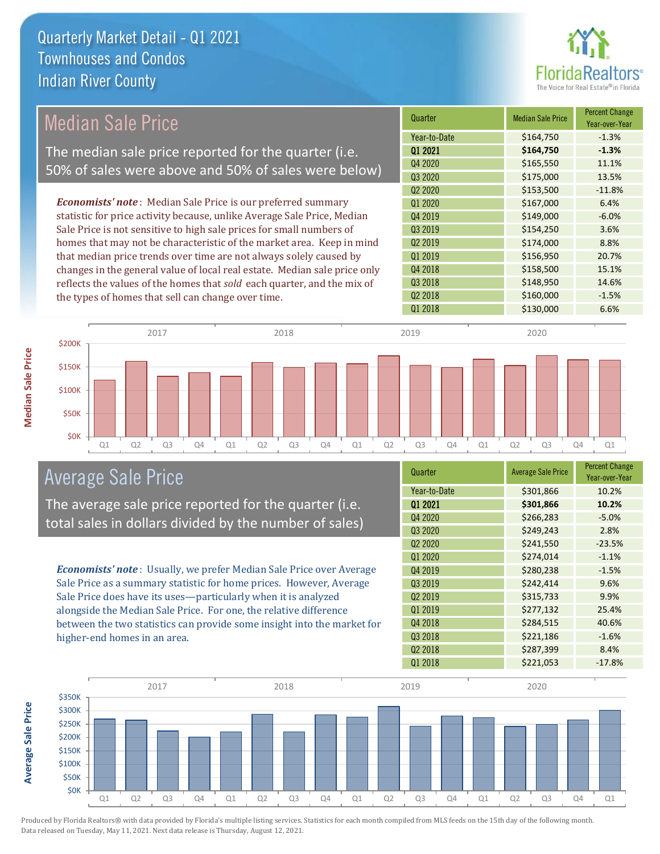

### Median Sale Price

The median sale price reported for the quarter (i.e. 50% of sales were above and 50% of sales were below)

*Economists' note* : Median Sale Price is our preferred summary statistic for price activity because, unlike Average Sale Price, Median Sale Price is not sensitive to high sale prices for small numbers of homes that may not be characteristic of the market area. Keep in mind that median price trends over time are not always solely caused by changes in the general value of local real estate. Median sale price only reflects the values of the homes that *sold* each quarter, and the mix of the types of homes that sell can change over time.

| Quarter                         | <b>Median Sale Price</b> | <b>Percent Change</b><br>Year-over-Year |
|---------------------------------|--------------------------|-----------------------------------------|
| Year-to-Date                    | \$164,750                | $-1.3%$                                 |
| Q1 2021                         | \$164,750                | $-1.3%$                                 |
| Q4 2020                         | \$165,550                | 11.1%                                   |
| Q3 2020                         | \$175,000                | 13.5%                                   |
| Q <sub>2</sub> 20 <sub>20</sub> | \$153,500                | $-11.8%$                                |
| 01 2020                         | \$167,000                | 6.4%                                    |
| Q4 2019                         | \$149,000                | $-6.0%$                                 |
| Q3 2019                         | \$154,250                | 3.6%                                    |
| Q <sub>2</sub> 2019             | \$174,000                | 8.8%                                    |
| 01 2019                         | \$156,950                | 20.7%                                   |
| Q4 2018                         | \$158,500                | 15.1%                                   |
| Q3 2018                         | \$148,950                | 14.6%                                   |
| Q <sub>2</sub> 2018             | \$160,000                | $-1.5%$                                 |
| Q1 2018                         | \$130,000                | 6.6%                                    |



### Average Sale Price

The average sale price reported for the quarter (i.e. total sales in dollars divided by the number of sales)

*Economists' note* : Usually, we prefer Median Sale Price over Average Sale Price as a summary statistic for home prices. However, Average Sale Price does have its uses—particularly when it is analyzed alongside the Median Sale Price. For one, the relative difference between the two statistics can provide some insight into the market for higher-end homes in an area.

| Quarter                         | <b>Average Sale Price</b> | <b>Percent Change</b><br>Year-over-Year |
|---------------------------------|---------------------------|-----------------------------------------|
| Year-to-Date                    | \$301,866                 | 10.2%                                   |
| 01 2021                         | \$301,866                 | 10.2%                                   |
| Q4 2020                         | \$266,283                 | $-5.0%$                                 |
| Q3 2020                         | \$249,243                 | 2.8%                                    |
| Q <sub>2</sub> 20 <sub>20</sub> | \$241,550                 | $-23.5%$                                |
| Q1 2020                         | \$274,014                 | $-1.1%$                                 |
| Q4 2019                         | \$280,238                 | $-1.5%$                                 |
| 03 2019                         | \$242,414                 | 9.6%                                    |
| Q <sub>2</sub> 2019             | \$315,733                 | 9.9%                                    |
| Q1 2019                         | \$277,132                 | 25.4%                                   |
| Q4 2018                         | \$284,515                 | 40.6%                                   |
| Q3 2018                         | \$221,186                 | $-1.6%$                                 |
| Q <sub>2</sub> 2018             | \$287,399                 | 8.4%                                    |
| Q1 2018                         | \$221,053                 | $-17.8%$                                |



Produced by Florida Realtors® with data provided by Florida's multiple listing services. Statistics for each month compiled from MLS feeds on the 15th day of the following month. Data released on Tuesday, May 11, 2021. Next data release is Thursday, August 12, 2021.

**Average Sale Price**

**Average Sale Price**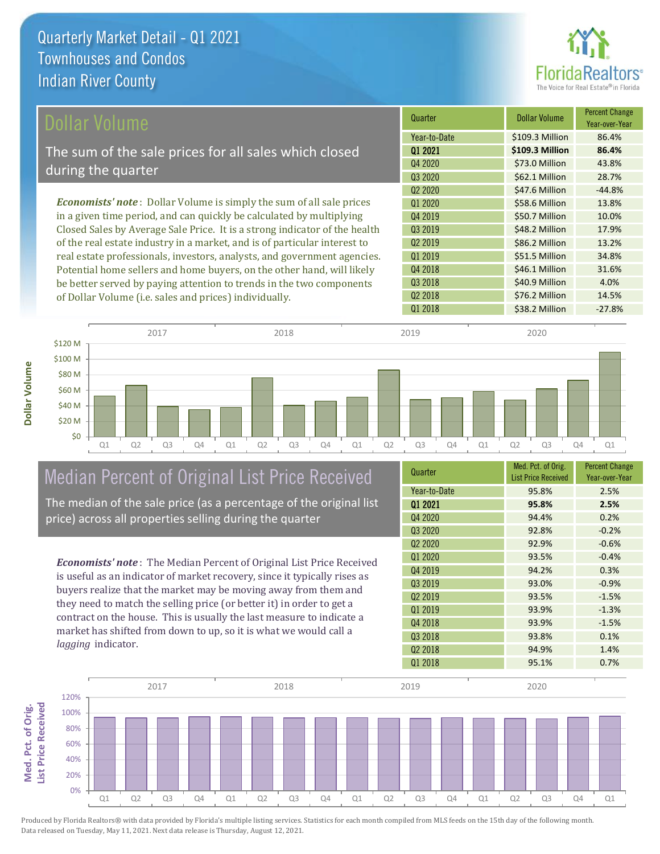

| Dollar Volume                                                                | Quarter      | <b>Dollar Volume</b> | <b>Percent Change</b><br>Year-over-Year |
|------------------------------------------------------------------------------|--------------|----------------------|-----------------------------------------|
|                                                                              | Year-to-Date | \$109.3 Million      | 86.4%                                   |
| The sum of the sale prices for all sales which closed                        | 01 2021      | \$109.3 Million      | 86.4%                                   |
| during the quarter                                                           | Q4 2020      | \$73.0 Million       | 43.8%                                   |
|                                                                              | Q3 2020      | \$62.1 Million       | 28.7%                                   |
|                                                                              | 02 2020      | \$47.6 Million       | $-44.8%$                                |
| <b>Economists' note</b> : Dollar Volume is simply the sum of all sale prices | 01 2020      | \$58.6 Million       | 13.8%                                   |
| in a given time period, and can quickly be calculated by multiplying         | Q4 2019      | \$50.7 Million       | 10.0%                                   |
| Closed Sales by Average Sale Price. It is a strong indicator of the health   | Q3 2019      | \$48.2 Million       | 17.9%                                   |
| of the real estate industry in a market, and is of particular interest to    | 02 2019      | \$86.2 Million       | 13.2%                                   |
| real estate professionals, investors, analysts, and government agencies.     | Q1 2019      | \$51.5 Million       | 34.8%                                   |
| Potential home sellers and home buyers, on the other hand, will likely       | Q4 2018      | \$46.1 Million       | 31.6%                                   |
| be better served by paying attention to trends in the two components         | Q3 2018      | \$40.9 Million       | 4.0%                                    |

Q1 Q2 Q3 Q4 Q1 Q2 Q3 Q4 Q1 Q2 Q3 Q4 Q1 Q2 Q3 Q4 Q1 \$0 \$20 M \$40 M \$60 M \$80 M \$100 M \$120 M 2017 2018 2019 2020

# Median Percent of Original List Price Received

of Dollar Volume (i.e. sales and prices) individually.

The median of the sale price (as a percentage of the original list price) across all properties selling during the quarter

*Economists' note* : The Median Percent of Original List Price Received is useful as an indicator of market recovery, since it typically rises as buyers realize that the market may be moving away from them and they need to match the selling price (or better it) in order to get a contract on the house. This is usually the last measure to indicate a market has shifted from down to up, so it is what we would call a *lagging* indicator.

| Quarter                         | Med. Pct. of Orig.<br><b>List Price Received</b> | <b>Percent Change</b><br>Year-over-Year |
|---------------------------------|--------------------------------------------------|-----------------------------------------|
| Year-to-Date                    | 95.8%                                            | 2.5%                                    |
| 01 2021                         | 95.8%                                            | 2.5%                                    |
| Q4 2020                         | 94.4%                                            | 0.2%                                    |
| Q3 2020                         | 92.8%                                            | $-0.2%$                                 |
| Q <sub>2</sub> 20 <sub>20</sub> | 92.9%                                            | $-0.6%$                                 |
| Q1 2020                         | 93.5%                                            | $-0.4%$                                 |
| Q4 2019                         | 94.2%                                            | 0.3%                                    |
| 03 2019                         | 93.0%                                            | $-0.9%$                                 |
| Q <sub>2</sub> 2019             | 93.5%                                            | $-1.5%$                                 |
| 01 2019                         | 93.9%                                            | $-1.3%$                                 |
| Q4 2018                         | 93.9%                                            | $-1.5%$                                 |
| Q3 2018                         | 93.8%                                            | 0.1%                                    |
| Q <sub>2</sub> 2018             | 94.9%                                            | 1.4%                                    |
| 01 2018                         | 95.1%                                            | 0.7%                                    |

Q2 2018 **\$76.2 Million 14.5%** 

Q1 2018 **\$38.2 Million -27.8%** 



Med. Pct. of Orig.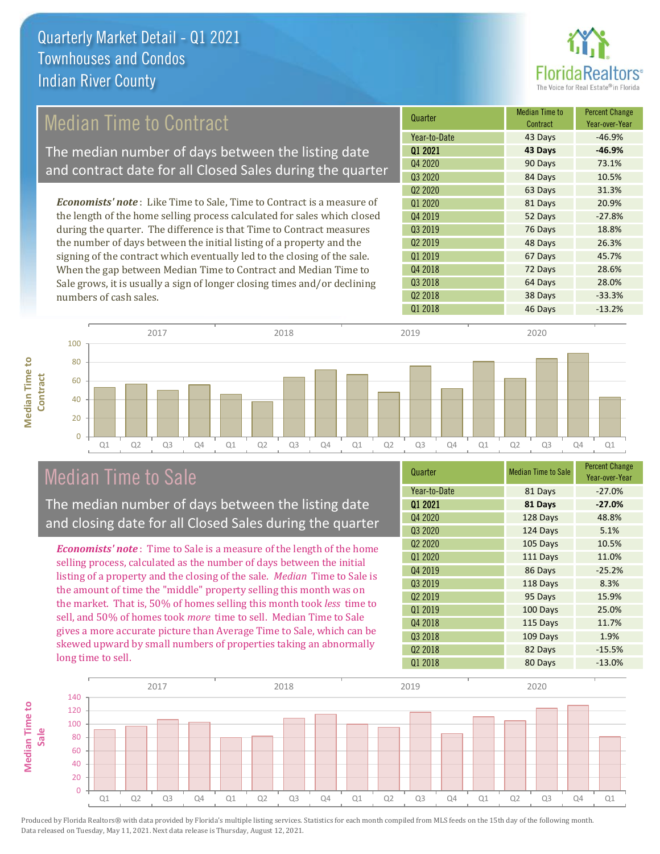

### Median Time to Contract

The median number of days between the listing date and contract date for all Closed Sales during the quarter

*Economists' note* : Like Time to Sale, Time to Contract is a measure of the length of the home selling process calculated for sales which closed during the quarter. The difference is that Time to Contract measures the number of days between the initial listing of a property and the signing of the contract which eventually led to the closing of the sale. When the gap between Median Time to Contract and Median Time to Sale grows, it is usually a sign of longer closing times and/or declining numbers of cash sales.





### Median Time to Sale

**Median Time to** 

**Median Time to** 

The median number of days between the listing date and closing date for all Closed Sales during the quarter

*Economists' note* : Time to Sale is a measure of the length of the home selling process, calculated as the number of days between the initial listing of a property and the closing of the sale. *Median* Time to Sale is the amount of time the "middle" property selling this month was on the market. That is, 50% of homes selling this month took *less* time to sell, and 50% of homes took *more* time to sell. Median Time to Sale gives a more accurate picture than Average Time to Sale, which can be skewed upward by small numbers of properties taking an abnormally long time to sell.

| Quarter             | <b>Median Time to Sale</b> | <b>Percent Change</b><br>Year-over-Year |
|---------------------|----------------------------|-----------------------------------------|
| Year-to-Date        | 81 Days                    | $-27.0%$                                |
| Q1 2021             | 81 Days                    | $-27.0%$                                |
| Q4 2020             | 128 Days                   | 48.8%                                   |
| Q3 2020             | 124 Days                   | 5.1%                                    |
| Q <sub>2</sub> 2020 | 105 Days                   | 10.5%                                   |
| 01 2020             | 111 Days                   | 11.0%                                   |
| Q4 2019             | 86 Days                    | $-25.2%$                                |
| Q3 2019             | 118 Days                   | 8.3%                                    |
| Q <sub>2</sub> 2019 | 95 Days                    | 15.9%                                   |
| Q1 2019             | 100 Days                   | 25.0%                                   |
| Q4 2018             | 115 Days                   | 11.7%                                   |
| Q3 2018             | 109 Days                   | 1.9%                                    |
| Q <sub>2</sub> 2018 | 82 Days                    | $-15.5%$                                |
| Q1 2018             | 80 Days                    | $-13.0%$                                |

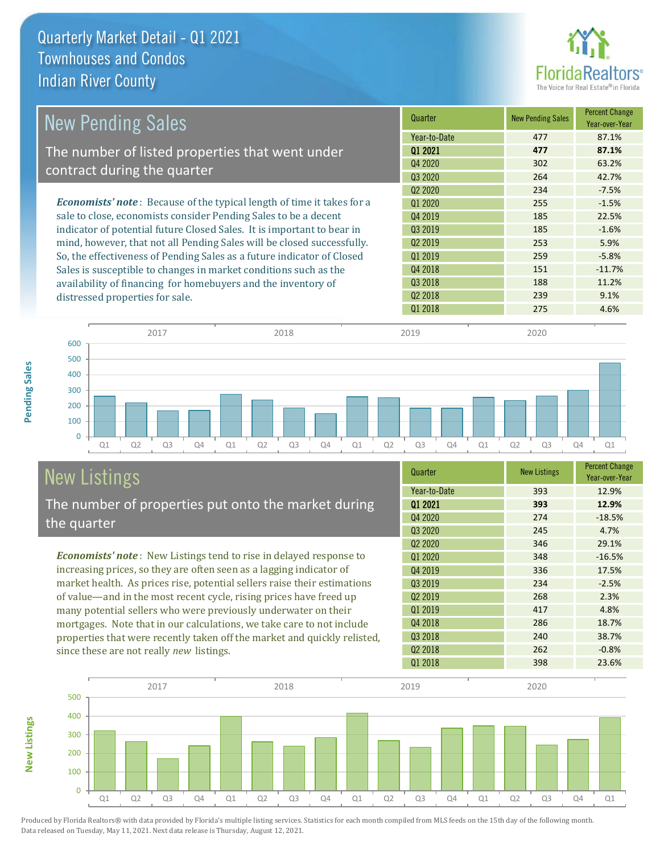

| <b>New Pending Sales</b>                                                      | Quarter                         | <b>New Pending Sales</b> | <b>Percent Change</b><br>Year-over-Year |
|-------------------------------------------------------------------------------|---------------------------------|--------------------------|-----------------------------------------|
|                                                                               | Year-to-Date                    | 477                      | 87.1%                                   |
| The number of listed properties that went under                               | 01 2021                         | 477                      | 87.1%                                   |
| contract during the quarter                                                   | Q4 2020                         | 302                      | 63.2%                                   |
|                                                                               | Q3 2020                         | 264                      | 42.7%                                   |
|                                                                               | Q <sub>2</sub> 20 <sub>20</sub> | 234                      | $-7.5%$                                 |
| <b>Economists' note:</b> Because of the typical length of time it takes for a | 01 2020                         | 255                      | $-1.5%$                                 |
| sale to close, economists consider Pending Sales to be a decent               | Q4 2019                         | 185                      | 22.5%                                   |
| indicator of potential future Closed Sales. It is important to bear in        | Q3 2019                         | 185                      | $-1.6%$                                 |
| mind, however, that not all Pending Sales will be closed successfully.        | Q <sub>2</sub> 2019             | 253                      | 5.9%                                    |
| So, the effectiveness of Pending Sales as a future indicator of Closed        | Q1 2019                         | 259                      | $-5.8%$                                 |
| Sales is susceptible to changes in market conditions such as the              | Q4 2018                         | 151                      | $-11.7%$                                |
| availability of financing for homebuyers and the inventory of                 | Q3 2018                         | 188                      | 11.2%                                   |
| distressed properties for sale.                                               | Q <sub>2</sub> 2018             | 239                      | 9.1%                                    |
|                                                                               | 01 2018                         | 275                      | 4.6%                                    |



# New Listings

The number of properties put onto the market during the quarter

*Economists' note* : New Listings tend to rise in delayed response to increasing prices, so they are often seen as a lagging indicator of market health. As prices rise, potential sellers raise their estimations of value—and in the most recent cycle, rising prices have freed up many potential sellers who were previously underwater on their mortgages. Note that in our calculations, we take care to not include properties that were recently taken off the market and quickly relisted, since these are not really *new* listings.

| Quarter                         | <b>New Listings</b> | <b>Percent Change</b><br>Year-over-Year |
|---------------------------------|---------------------|-----------------------------------------|
| Year-to-Date                    | 393                 | 12.9%                                   |
| 01 2021                         | 393                 | 12.9%                                   |
| Q4 2020                         | 274                 | $-18.5%$                                |
| Q3 2020                         | 245                 | 4.7%                                    |
| Q <sub>2</sub> 20 <sub>20</sub> | 346                 | 29.1%                                   |
| Q1 2020                         | 348                 | $-16.5%$                                |
| Q4 2019                         | 336                 | 17.5%                                   |
| 03 2019                         | 234                 | $-2.5%$                                 |
| Q <sub>2</sub> 2019             | 268                 | 2.3%                                    |
| 01 2019                         | 417                 | 4.8%                                    |
| Q4 2018                         | 286                 | 18.7%                                   |
| Q3 2018                         | 240                 | 38.7%                                   |
| Q <sub>2</sub> 2018             | 262                 | $-0.8%$                                 |
| 01 2018                         | 398                 | 23.6%                                   |



Produced by Florida Realtors® with data provided by Florida's multiple listing services. Statistics for each month compiled from MLS feeds on the 15th day of the following month. Data released on Tuesday, May 11, 2021. Next data release is Thursday, August 12, 2021.

**New Listings**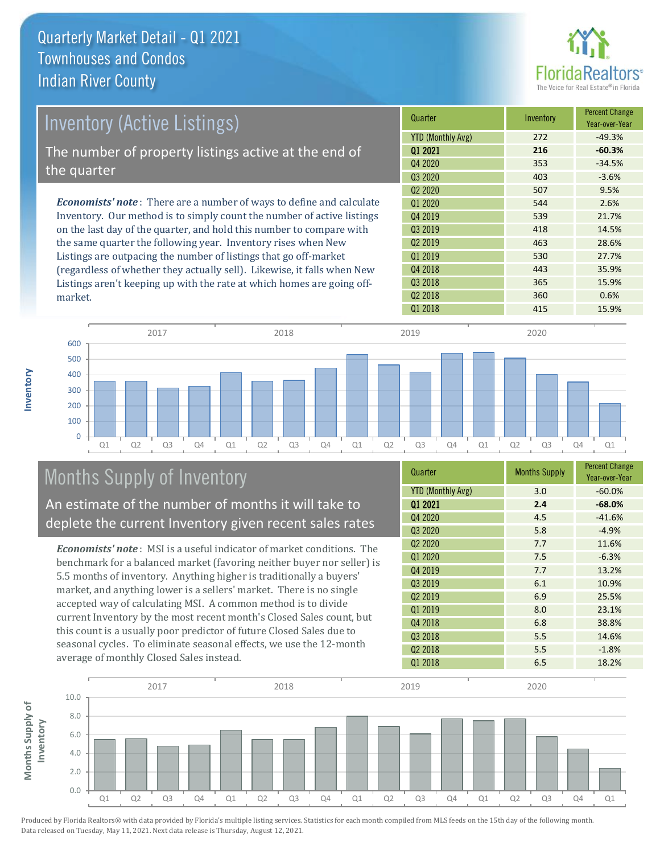

| <b>Inventory (Active Listings)</b>                                           | Quarter             | Inventory | <b>Percent Change</b><br>Year-over-Year |
|------------------------------------------------------------------------------|---------------------|-----------|-----------------------------------------|
|                                                                              | YTD (Monthly Avg)   | 272       | $-49.3%$                                |
| The number of property listings active at the end of                         | 01 2021             | 216       | $-60.3%$                                |
| the quarter                                                                  | Q4 2020             | 353       | $-34.5%$                                |
|                                                                              | Q3 2020             | 403       | $-3.6%$                                 |
|                                                                              | Q <sub>2</sub> 2020 | 507       | 9.5%                                    |
| <b>Economists' note</b> : There are a number of ways to define and calculate | Q1 2020             | 544       | 2.6%                                    |
| Inventory. Our method is to simply count the number of active listings       | Q4 2019             | 539       | 21.7%                                   |
| on the last day of the quarter, and hold this number to compare with         | Q3 2019             | 418       | 14.5%                                   |
| the same quarter the following year. Inventory rises when New                | Q <sub>2</sub> 2019 | 463       | 28.6%                                   |
| Listings are outpacing the number of listings that go off-market             | Q1 2019             | 530       | 27.7%                                   |
| (regardless of whether they actually sell). Likewise, it falls when New      | Q4 2018             | 443       | 35.9%                                   |

Q1 Q2 Q3 Q4 Q1 Q2 Q3 Q4 Q1 Q2 Q3 Q4 Q1 Q2 Q3 Q4 Q1  $\overline{0}$ 100 200 300 400 500 600 2017 2018 2019 2020

### Months Supply of Inventory

market.

**Inventory**

An estimate of the number of months it will take to deplete the current Inventory given recent sales rates

Listings aren't keeping up with the rate at which homes are going off-

*Economists' note* : MSI is a useful indicator of market conditions. The benchmark for a balanced market (favoring neither buyer nor seller) is 5.5 months of inventory. Anything higher is traditionally a buyers' market, and anything lower is a sellers' market. There is no single accepted way of calculating MSI. A common method is to divide current Inventory by the most recent month's Closed Sales count, but this count is a usually poor predictor of future Closed Sales due to seasonal cycles. To eliminate seasonal effects, we use the 12-month average of monthly Closed Sales instead.

| Quarter                  | <b>Months Supply</b> | <b>Percent Change</b><br>Year-over-Year |
|--------------------------|----------------------|-----------------------------------------|
| <b>YTD (Monthly Avg)</b> | 3.0                  | $-60.0%$                                |
| 01 2021                  | 2.4                  | $-68.0%$                                |
| Q4 2020                  | 4.5                  | $-41.6%$                                |
| Q3 2020                  | 5.8                  | $-4.9%$                                 |
| Q2 2020                  | 7.7                  | 11.6%                                   |
| Q1 2020                  | 7.5                  | $-6.3%$                                 |
| Q4 2019                  | 7.7                  | 13.2%                                   |
| Q3 2019                  | 6.1                  | 10.9%                                   |
| Q <sub>2</sub> 2019      | 6.9                  | 25.5%                                   |
| Q1 2019                  | 8.0                  | 23.1%                                   |
| Q4 2018                  | 6.8                  | 38.8%                                   |
| Q3 2018                  | 5.5                  | 14.6%                                   |
| Q <sub>2</sub> 2018      | 5.5                  | $-1.8%$                                 |
| Q1 2018                  | 6.5                  | 18.2%                                   |

Q1 2018 **415** 415 **15.9%** 

Q3 2018 365 15.9% Q2 2018 2018 2019 2020 2020 2020 20360

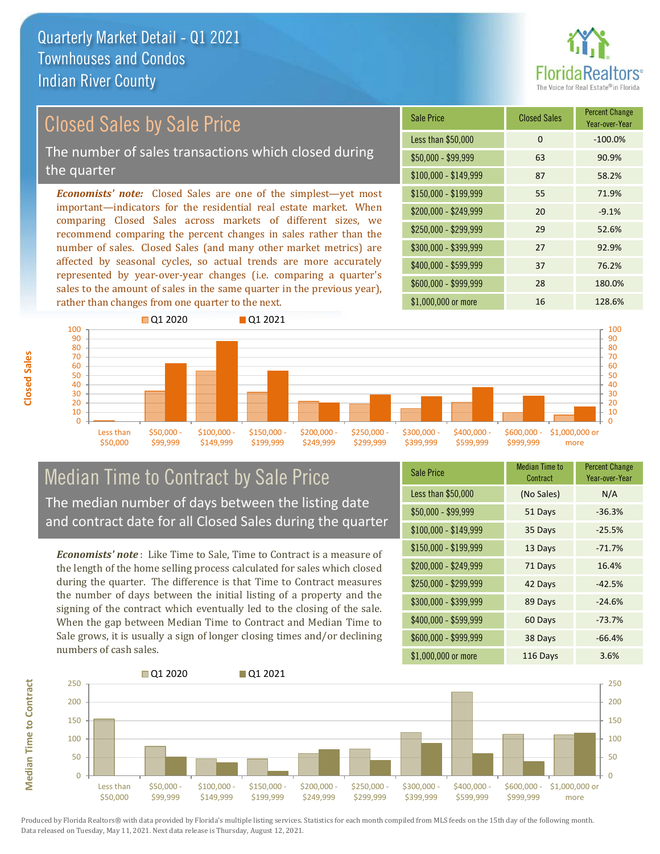

### Closed Sales by Sale Price

The number of sales transactions which closed during the quarter

*Economists' note:* Closed Sales are one of the simplest—yet most important—indicators for the residential real estate market. When comparing Closed Sales across markets of different sizes, we recommend comparing the percent changes in sales rather than the number of sales. Closed Sales (and many other market metrics) are affected by seasonal cycles, so actual trends are more accurately represented by year-over-year changes (i.e. comparing a quarter's sales to the amount of sales in the same quarter in the previous year), rather than changes from one quarter to the next.

| Sale Price            | <b>Closed Sales</b> | <b>Percent Change</b><br>Year-over-Year |
|-----------------------|---------------------|-----------------------------------------|
| Less than \$50,000    | 0                   | $-100.0%$                               |
| $$50,000 - $99,999$   | 63                  | 90.9%                                   |
| $$100,000 - $149,999$ | 87                  | 58.2%                                   |
| $$150,000 - $199,999$ | 55                  | 71.9%                                   |
| \$200,000 - \$249,999 | 20                  | $-9.1%$                                 |
| \$250,000 - \$299,999 | 29                  | 52.6%                                   |
| \$300,000 - \$399,999 | 27                  | 92.9%                                   |
| \$400,000 - \$599,999 | 37                  | 76.2%                                   |
| \$600,000 - \$999,999 | 28                  | 180.0%                                  |
| \$1,000,000 or more   | 16                  | 128.6%                                  |



#### Median Time to Contract by Sale Price The median number of days between the listing date and contract date for all Closed Sales during the quarter

*Economists' note* : Like Time to Sale, Time to Contract is a measure of the length of the home selling process calculated for sales which closed during the quarter. The difference is that Time to Contract measures the number of days between the initial listing of a property and the signing of the contract which eventually led to the closing of the sale. When the gap between Median Time to Contract and Median Time to Sale grows, it is usually a sign of longer closing times and/or declining numbers of cash sales.

| <b>Sale Price</b>     | Median Time to<br>Contract | <b>Percent Change</b><br>Year-over-Year |
|-----------------------|----------------------------|-----------------------------------------|
| Less than \$50,000    | (No Sales)                 | N/A                                     |
| $$50,000 - $99,999$   | 51 Days                    | $-36.3%$                                |
| $$100,000 - $149,999$ | 35 Days                    | $-25.5%$                                |
| $$150,000 - $199,999$ | 13 Days                    | $-71.7%$                                |
| \$200,000 - \$249,999 | 71 Days                    | 16.4%                                   |
| \$250,000 - \$299,999 | 42 Days                    | $-42.5%$                                |
| \$300,000 - \$399,999 | 89 Days                    | $-24.6%$                                |
| \$400,000 - \$599,999 | 60 Days                    | $-73.7%$                                |
| \$600,000 - \$999,999 | 38 Days                    | $-66.4%$                                |
| \$1,000,000 or more   | 116 Days                   | 3.6%                                    |

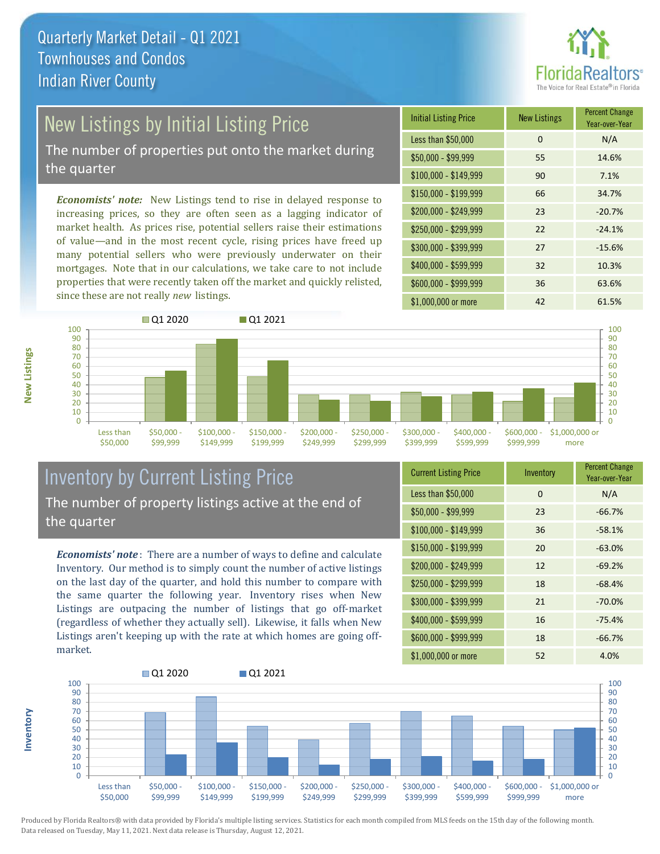

# New Listings by Initial Listing Price

The number of properties put onto the market during the quarter

*Economists' note:* New Listings tend to rise in delayed response to increasing prices, so they are often seen as a lagging indicator of market health. As prices rise, potential sellers raise their estimations of value—and in the most recent cycle, rising prices have freed up many potential sellers who were previously underwater on their mortgages. Note that in our calculations, we take care to not include properties that were recently taken off the market and quickly relisted, since these are not really *new* listings.

| <b>Initial Listing Price</b> | <b>New Listings</b> | <b>Percent Change</b><br>Year-over-Year |
|------------------------------|---------------------|-----------------------------------------|
| Less than \$50,000           | $\Omega$            | N/A                                     |
| $$50,000 - $99,999$          | 55                  | 14.6%                                   |
| $$100,000 - $149,999$        | 90                  | 7.1%                                    |
| $$150,000 - $199,999$        | 66                  | 34.7%                                   |
| \$200,000 - \$249,999        | 23                  | $-20.7%$                                |
| \$250,000 - \$299,999        | 22                  | $-24.1%$                                |
| \$300,000 - \$399,999        | 27                  | $-15.6%$                                |
| \$400,000 - \$599,999        | 32                  | 10.3%                                   |
| \$600,000 - \$999,999        | 36                  | 63.6%                                   |
| \$1,000,000 or more          | 42                  | 61.5%                                   |



### Inventory by Current Listing Price The number of property listings active at the end of the quarter

*Economists' note* : There are a number of ways to define and calculate Inventory. Our method is to simply count the number of active listings on the last day of the quarter, and hold this number to compare with the same quarter the following year. Inventory rises when New Listings are outpacing the number of listings that go off-market (regardless of whether they actually sell). Likewise, it falls when New Listings aren't keeping up with the rate at which homes are going offmarket.

| <b>Current Listing Price</b> | Inventory | <b>Percent Change</b><br>Year-over-Year |
|------------------------------|-----------|-----------------------------------------|
| Less than \$50,000           | 0         | N/A                                     |
| $$50,000 - $99,999$          | 23        | $-66.7%$                                |
| $$100,000 - $149,999$        | 36        | $-58.1%$                                |
| $$150,000 - $199,999$        | 20        | $-63.0%$                                |
| \$200,000 - \$249,999        | 12        | $-69.2%$                                |
| \$250,000 - \$299,999        | 18        | $-68.4%$                                |
| \$300,000 - \$399,999        | 21        | $-70.0%$                                |
| $$400,000 - $599,999$        | 16        | $-75.4%$                                |
| \$600,000 - \$999,999        | 18        | $-66.7%$                                |
| \$1,000,000 or more          | 52        | 4.0%                                    |



Produced by Florida Realtors® with data provided by Florida's multiple listing services. Statistics for each month compiled from MLS feeds on the 15th day of the following month. Data released on Tuesday, May 11, 2021. Next data release is Thursday, August 12, 2021.

**Inventory**